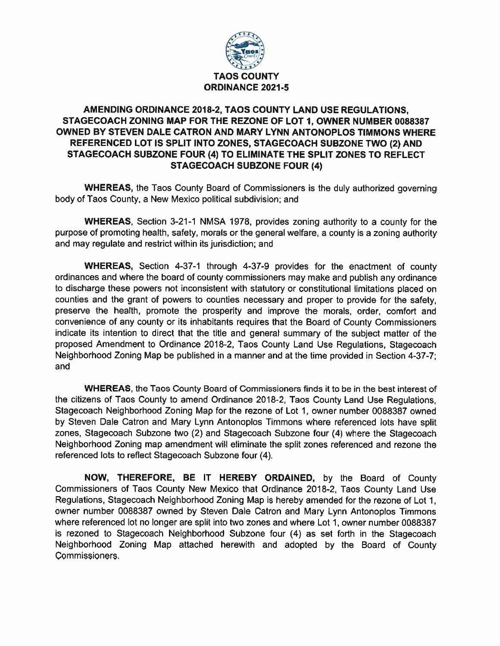

## AMENDING ORDINANCE 2018-2, TAOS COUNTY LAND USE REGULATIONS, STAGECOACH ZONING MAP FOR THE REZONE OF LOT 1, OWNER NUMBER 0088387 OWNED BY STEVEN DALE CATRON AND MARY LYNN ANTONOPLOS TIMMONS WHERE REFERENCED LOT IS SPLIT INTO ZONES, STAGECOACH SUBZONE TWO (2) AND STAGECOACH SUBZONE FOUR (4) TO ELIMINATE THE SPLIT ZONES TO REFLECT **STAGECOACH SUBZONE FOUR (4)**

**WHEREAS, the Taos County Board of Commissioners is the duly authorized governing** body of Taos County, a New Mexico political subdivision; and

**WHEREAS,** Section 3-21-1 NMSA 1978, provides zoning authority to a county for the purpose of promoting health, safety, morals or the general welfare, a county is a zoning authority and may regulate and restrict within its jurisdiction; and

**WHEREAS, Section 4-37-1 through 4-37-9 provides for the enactment of county** ordinances and where the board of county commissioners may make and publish any ordinance to discharge these powers not inconsistent with statutory or constitutional limitations placed on counties and the grant of powers to counties necessary and proper to provide for the safety, preserve the health, promote the prosperity and improve the morals, order, comfort and convenience of any county or its inhabitants requires that the Board of County Commissioners indicate its intention to direct that the title and general summary of the subject matter of the proposed Amendment to Ordinance 2018-2, Taos County Land Use Regulations, Stagecoach Neighborhood Zoning Map be published in a manner and at the time provided in Section 4-37-7; and

**WHEREAS, the Taos County Board of Commissioners finds it to be in the best interest of** the citizens of Taos County to amend Ordinance 2018-2, Taos County Land Use Regulations, Stagecoach Neighborhood Zoning Map for the rezone of Lot 1, owner number 0088387 owned by Steven Dale Catron and Mary Lynn Antonoplos Timmons where referenced lots have split zones, Stagecoach Subzone two (2) and Stagecoach Subzone four (4) where the Stagecoach Neighborhood Zoning map amendment will eliminate the split zones referenced and rezone the referenced lots to reflect Stagecoach Subzone four (4).

NOW, THEREFORE, BE IT HEREBY ORDAINED, by the Board of County Commissioners of Taos County New Mexico that Ordinance 2018-2, Taos County Land Use Regulations, Stagecoach Neighborhood Zoning Map is hereby amended for the rezone of Lot 1, owner number 0088387 owned by Steven Dale Catron and Mary Lynn Antonoplos Timmons where referenced lot no longer are split into two zones and where Lot 1, owner number 0088387 is rezoned to Stagecoach Neighborhood Subzone four (4) as set forth in the Stagecoach Neighborhood Zoning Map attached herewith and adopted by the Board of County Commissioners.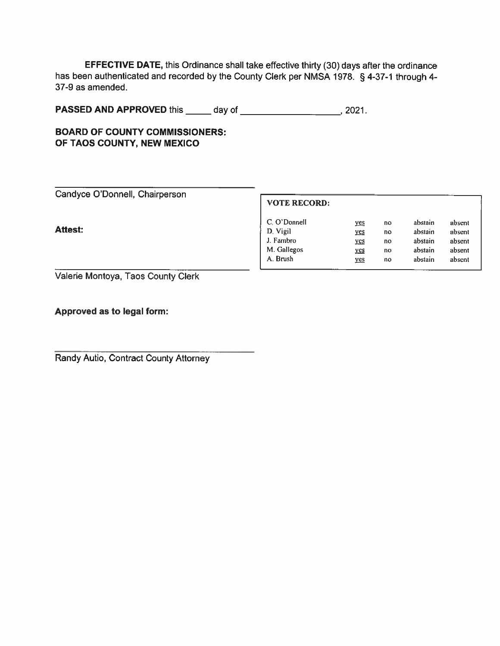EFFECTIVE DATE, this Ordinance shall take effective thirty (30) days after the ordinance has been authenticated and recorded by the County Clerk per NMSA 1978. § 4-37-1 through 4-37-9 as amended.

|  | <b>BOARD OF COUNTY COMMISSIONERS:</b> |  |
|--|---------------------------------------|--|
|  | OF TAOS COUNTY, NEW MEXICO            |  |

| Candyce O'Donnell, Chairperson |  |
|--------------------------------|--|
|--------------------------------|--|

**Attest:** 

## **VOTE RECORD:**

| C. O'Donnell | <u>ves</u> | no | abstain | absent |
|--------------|------------|----|---------|--------|
| D. Vigil     | <u>yes</u> | no | abstain | absent |
| J. Fambro    | <u>yes</u> | no | abstain | absent |
| M. Gallegos  | yes        | no | abstain | absent |
| A. Brush     | yes        | no | abstain | absent |

Valerie Montoya, Taos County Clerk

Approved as to legal form:

Randy Autio, Contract County Attorney